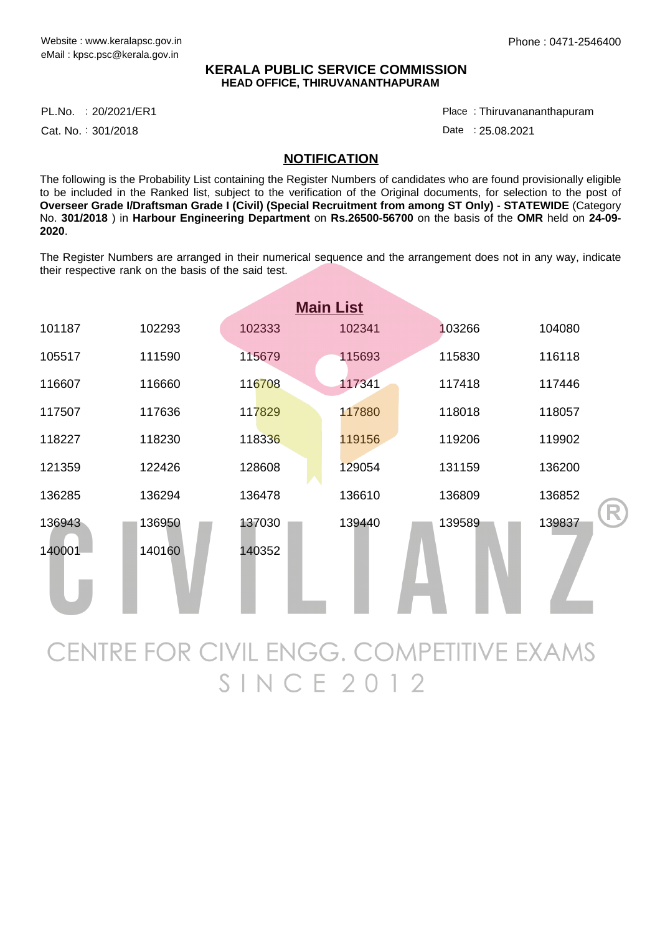## **KERALA PUBLIC SERVICE COMMISSION HEAD OFFICE, THIRUVANANTHAPURAM**

PL.No. :20/2021/ER1 Place

Cat. No.: 301/2018

Thiruvanananthapuram :

Date: 25.08.2021

## **NOTIFICATION**

The following is the Probability List containing the Register Numbers of candidates who are found provisionally eligible to be included in the Ranked list, subject to the verification of the Original documents, for selection to the post of **Overseer Grade I/Draftsman Grade I (Civil) (Special Recruitment from among ST Only)** - **STATEWIDE** (Category No. **301/2018** ) in **Harbour Engineering Department** on **Rs.26500-56700** on the basis of the **OMR** held on **24-09- 2020**.

The Register Numbers are arranged in their numerical sequence and the arrangement does not in any way, indicate their respective rank on the basis of the said test.

| <b>Main List</b> |        |        |        |        |        |
|------------------|--------|--------|--------|--------|--------|
| 101187           | 102293 | 102333 | 102341 | 103266 | 104080 |
| 105517           | 111590 | 115679 | 115693 | 115830 | 116118 |
| 116607           | 116660 | 116708 | 117341 | 117418 | 117446 |
| 117507           | 117636 | 117829 | 117880 | 118018 | 118057 |
| 118227           | 118230 | 118336 | 119156 | 119206 | 119902 |
| 121359           | 122426 | 128608 | 129054 | 131159 | 136200 |
| 136285           | 136294 | 136478 | 136610 | 136809 | 136852 |
| 136943           | 136950 | 137030 | 139440 | 139589 | 139837 |
| 140001           | 140160 | 140352 |        |        |        |

CENTRE FOR CIVIL ENGG. COMPETITIVE EXAMS  $SINCE2012$